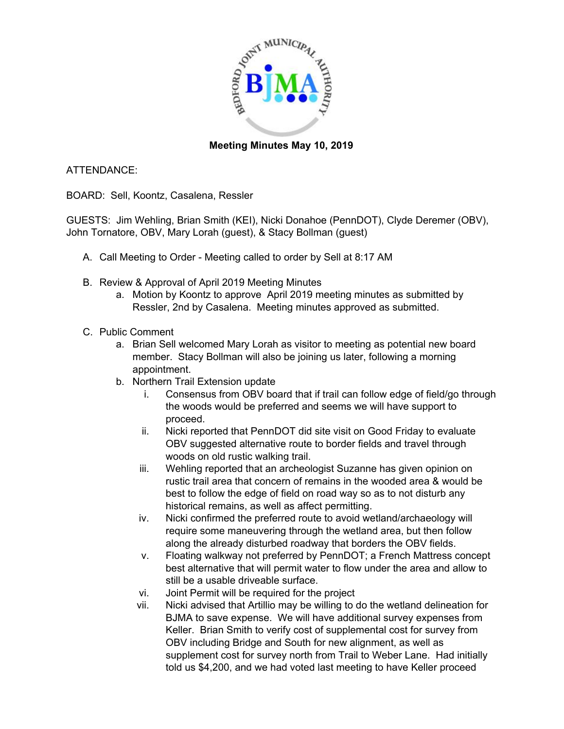

## **Meeting Minutes May 10, 2019**

## ATTENDANCE:

BOARD: Sell, Koontz, Casalena, Ressler

GUESTS: Jim Wehling, Brian Smith (KEI), Nicki Donahoe (PennDOT), Clyde Deremer (OBV), John Tornatore, OBV, Mary Lorah (guest), & Stacy Bollman (guest)

- A. Call Meeting to Order Meeting called to order by Sell at 8:17 AM
- B. Review & Approval of April 2019 Meeting Minutes
	- a. Motion by Koontz to approve April 2019 meeting minutes as submitted by Ressler, 2nd by Casalena. Meeting minutes approved as submitted.
- C. Public Comment
	- a. Brian Sell welcomed Mary Lorah as visitor to meeting as potential new board member. Stacy Bollman will also be joining us later, following a morning appointment.
	- b. Northern Trail Extension update
		- i. Consensus from OBV board that if trail can follow edge of field/go through the woods would be preferred and seems we will have support to proceed.
		- ii. Nicki reported that PennDOT did site visit on Good Friday to evaluate OBV suggested alternative route to border fields and travel through woods on old rustic walking trail.
		- iii. Wehling reported that an archeologist Suzanne has given opinion on rustic trail area that concern of remains in the wooded area & would be best to follow the edge of field on road way so as to not disturb any historical remains, as well as affect permitting.
		- iv. Nicki confirmed the preferred route to avoid wetland/archaeology will require some maneuvering through the wetland area, but then follow along the already disturbed roadway that borders the OBV fields.
		- v. Floating walkway not preferred by PennDOT; a French Mattress concept best alternative that will permit water to flow under the area and allow to still be a usable driveable surface.
		- vi. Joint Permit will be required for the project
		- vii. Nicki advised that Artillio may be willing to do the wetland delineation for BJMA to save expense. We will have additional survey expenses from Keller. Brian Smith to verify cost of supplemental cost for survey from OBV including Bridge and South for new alignment, as well as supplement cost for survey north from Trail to Weber Lane. Had initially told us \$4,200, and we had voted last meeting to have Keller proceed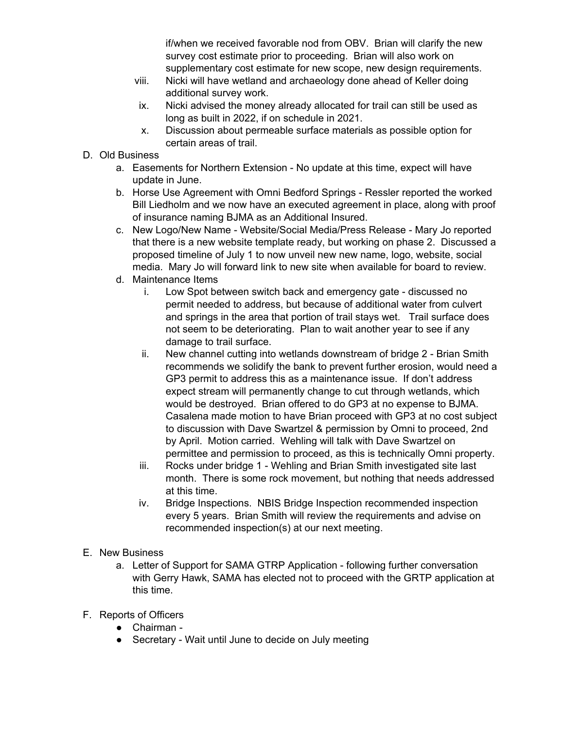if/when we received favorable nod from OBV. Brian will clarify the new survey cost estimate prior to proceeding. Brian will also work on supplementary cost estimate for new scope, new design requirements.

- viii. Nicki will have wetland and archaeology done ahead of Keller doing additional survey work.
- ix. Nicki advised the money already allocated for trail can still be used as long as built in 2022, if on schedule in 2021.
- x. Discussion about permeable surface materials as possible option for certain areas of trail.
- D. Old Business
	- a. Easements for Northern Extension No update at this time, expect will have update in June.
	- b. Horse Use Agreement with Omni Bedford Springs Ressler reported the worked Bill Liedholm and we now have an executed agreement in place, along with proof of insurance naming BJMA as an Additional Insured.
	- c. New Logo/New Name Website/Social Media/Press Release Mary Jo reported that there is a new website template ready, but working on phase 2. Discussed a proposed timeline of July 1 to now unveil new new name, logo, website, social media. Mary Jo will forward link to new site when available for board to review.
	- d. Maintenance Items
		- i. Low Spot between switch back and emergency gate discussed no permit needed to address, but because of additional water from culvert and springs in the area that portion of trail stays wet. Trail surface does not seem to be deteriorating. Plan to wait another year to see if any damage to trail surface.
		- ii. New channel cutting into wetlands downstream of bridge 2 Brian Smith recommends we solidify the bank to prevent further erosion, would need a GP3 permit to address this as a maintenance issue. If don't address expect stream will permanently change to cut through wetlands, which would be destroyed. Brian offered to do GP3 at no expense to BJMA. Casalena made motion to have Brian proceed with GP3 at no cost subject to discussion with Dave Swartzel & permission by Omni to proceed, 2nd by April. Motion carried. Wehling will talk with Dave Swartzel on permittee and permission to proceed, as this is technically Omni property.
		- iii. Rocks under bridge 1 Wehling and Brian Smith investigated site last month. There is some rock movement, but nothing that needs addressed at this time.
		- iv. Bridge Inspections. NBIS Bridge Inspection recommended inspection every 5 years. Brian Smith will review the requirements and advise on recommended inspection(s) at our next meeting.
- E. New Business
	- a. Letter of Support for SAMA GTRP Application following further conversation with Gerry Hawk, SAMA has elected not to proceed with the GRTP application at this time.
- F. Reports of Officers
	- Chairman -
	- Secretary Wait until June to decide on July meeting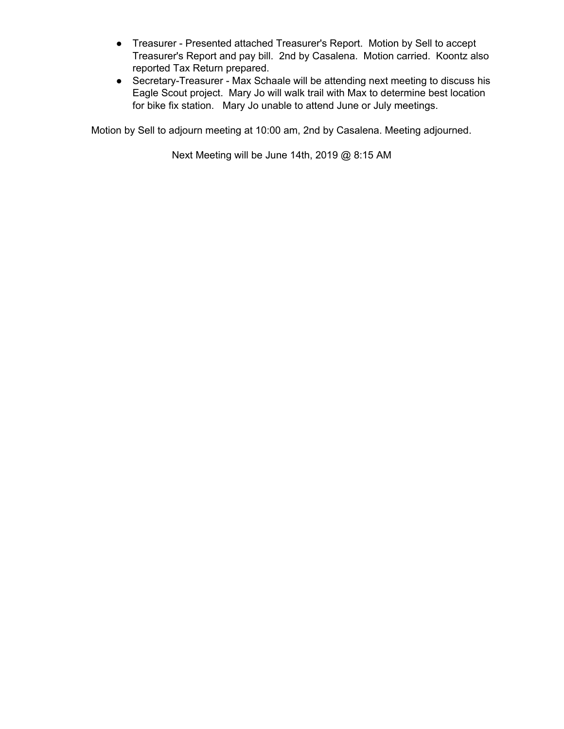- Treasurer Presented attached Treasurer's Report. Motion by Sell to accept Treasurer's Report and pay bill. 2nd by Casalena. Motion carried. Koontz also reported Tax Return prepared.
- Secretary-Treasurer Max Schaale will be attending next meeting to discuss his Eagle Scout project. Mary Jo will walk trail with Max to determine best location for bike fix station. Mary Jo unable to attend June or July meetings.

Motion by Sell to adjourn meeting at 10:00 am, 2nd by Casalena. Meeting adjourned.

Next Meeting will be June 14th, 2019 @ 8:15 AM